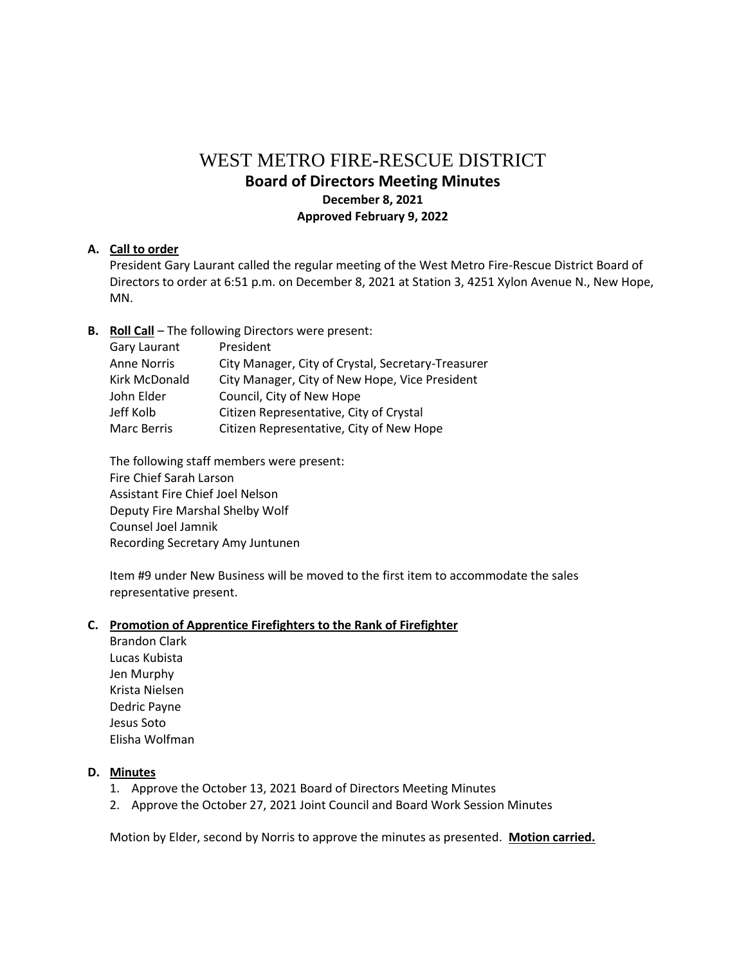# WEST METRO FIRE-RESCUE DISTRICT

# **Board of Directors Meeting Minutes December 8, 2021**

**Approved February 9, 2022**

# **A. Call to order**

President Gary Laurant called the regular meeting of the West Metro Fire-Rescue District Board of Directors to order at 6:51 p.m. on December 8, 2021 at Station 3, 4251 Xylon Avenue N., New Hope, MN.

# **B. Roll Call** – The following Directors were present:

| Gary Laurant       | President                                          |
|--------------------|----------------------------------------------------|
| <b>Anne Norris</b> | City Manager, City of Crystal, Secretary-Treasurer |
| Kirk McDonald      | City Manager, City of New Hope, Vice President     |
| John Elder         | Council, City of New Hope                          |
| Jeff Kolb          | Citizen Representative, City of Crystal            |
| <b>Marc Berris</b> | Citizen Representative, City of New Hope           |
|                    |                                                    |

The following staff members were present: Fire Chief Sarah Larson Assistant Fire Chief Joel Nelson Deputy Fire Marshal Shelby Wolf Counsel Joel Jamnik Recording Secretary Amy Juntunen

Item #9 under New Business will be moved to the first item to accommodate the sales representative present.

# **C. Promotion of Apprentice Firefighters to the Rank of Firefighter**

Brandon Clark Lucas Kubista Jen Murphy Krista Nielsen Dedric Payne Jesus Soto Elisha Wolfman

# **D. Minutes**

- 1. Approve the October 13, 2021 Board of Directors Meeting Minutes
- 2. Approve the October 27, 2021 Joint Council and Board Work Session Minutes

Motion by Elder, second by Norris to approve the minutes as presented. **Motion carried.**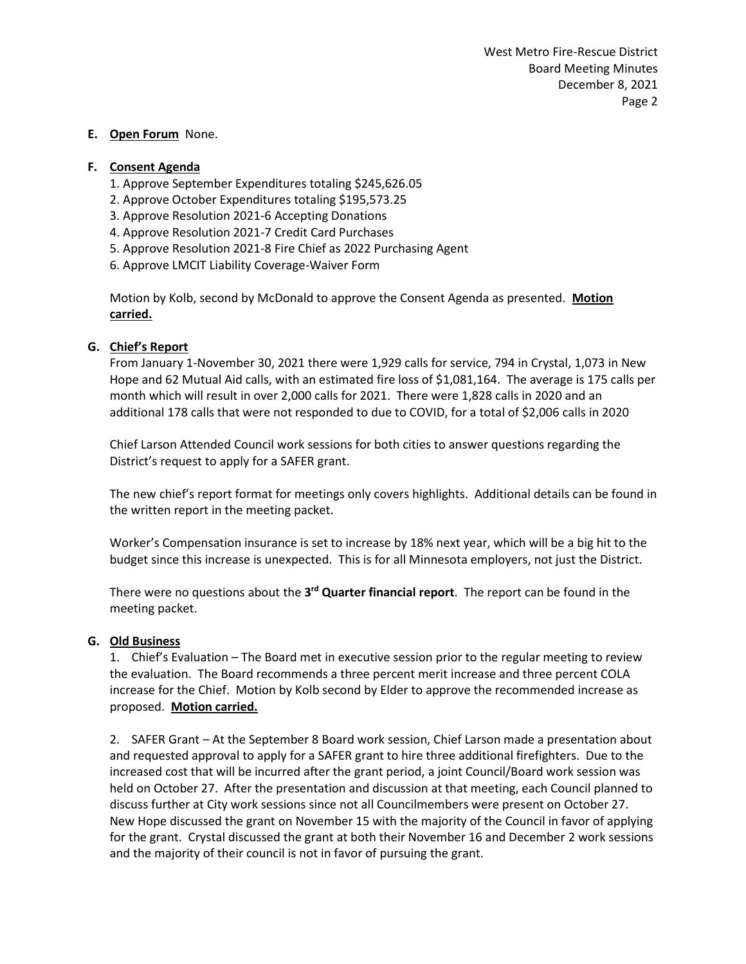#### **E. Open Forum** None.

#### **F. Consent Agenda**

- 1. Approve September Expenditures totaling \$245,626.05
- 2. Approve October Expenditures totaling \$195,573.25
- 3. Approve Resolution 2021-6 Accepting Donations
- 4. Approve Resolution 2021-7 Credit Card Purchases
- 5. Approve Resolution 2021-8 Fire Chief as 2022 Purchasing Agent
- 6. Approve LMCIT Liability Coverage-Waiver Form

Motion by Kolb, second by McDonald to approve the Consent Agenda as presented. **Motion carried.**

#### **G. Chief's Report**

From January 1-November 30, 2021 there were 1,929 calls for service, 794 in Crystal, 1,073 in New Hope and 62 Mutual Aid calls, with an estimated fire loss of \$1,081,164. The average is 175 calls per month which will result in over 2,000 calls for 2021. There were 1,828 calls in 2020 and an additional 178 calls that were not responded to due to COVID, for a total of \$2,006 calls in 2020

Chief Larson Attended Council work sessions for both cities to answer questions regarding the District's request to apply for a SAFER grant.

The new chief's report format for meetings only covers highlights. Additional details can be found in the written report in the meeting packet.

Worker's Compensation insurance is set to increase by 18% next year, which will be a big hit to the budget since this increase is unexpected. This is for all Minnesota employers, not just the District.

There were no questions about the 3<sup>rd</sup> Quarter financial report. The report can be found in the meeting packet.

#### **G. Old Business**

1. Chief's Evaluation – The Board met in executive session prior to the regular meeting to review the evaluation. The Board recommends a three percent merit increase and three percent COLA increase for the Chief. Motion by Kolb second by Elder to approve the recommended increase as proposed. **Motion carried.**

2. SAFER Grant – At the September 8 Board work session, Chief Larson made a presentation about and requested approval to apply for a SAFER grant to hire three additional firefighters. Due to the increased cost that will be incurred after the grant period, a joint Council/Board work session was held on October 27. After the presentation and discussion at that meeting, each Council planned to discuss further at City work sessions since not all Councilmembers were present on October 27. New Hope discussed the grant on November 15 with the majority of the Council in favor of applying for the grant. Crystal discussed the grant at both their November 16 and December 2 work sessions and the majority of their council is not in favor of pursuing the grant.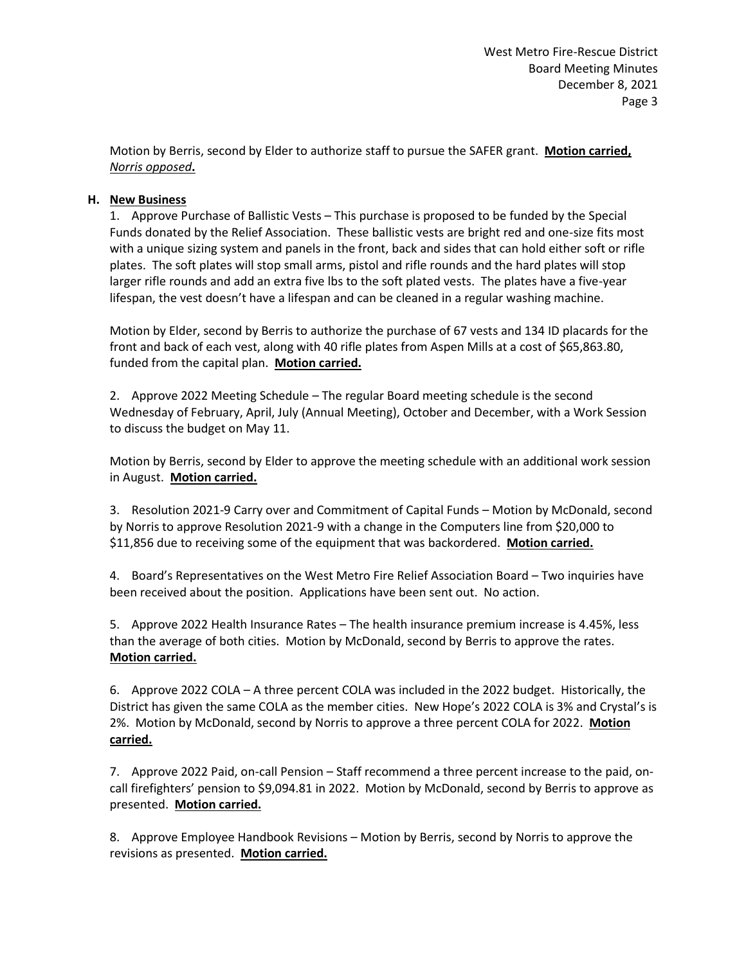Motion by Berris, second by Elder to authorize staff to pursue the SAFER grant. **Motion carried,** *Norris opposed***.**

### **H. New Business**

1. Approve Purchase of Ballistic Vests – This purchase is proposed to be funded by the Special Funds donated by the Relief Association. These ballistic vests are bright red and one-size fits most with a unique sizing system and panels in the front, back and sides that can hold either soft or rifle plates. The soft plates will stop small arms, pistol and rifle rounds and the hard plates will stop larger rifle rounds and add an extra five lbs to the soft plated vests. The plates have a five-year lifespan, the vest doesn't have a lifespan and can be cleaned in a regular washing machine.

Motion by Elder, second by Berris to authorize the purchase of 67 vests and 134 ID placards for the front and back of each vest, along with 40 rifle plates from Aspen Mills at a cost of \$65,863.80, funded from the capital plan. **Motion carried.**

2. Approve 2022 Meeting Schedule – The regular Board meeting schedule is the second Wednesday of February, April, July (Annual Meeting), October and December, with a Work Session to discuss the budget on May 11.

Motion by Berris, second by Elder to approve the meeting schedule with an additional work session in August. **Motion carried.**

3. Resolution 2021-9 Carry over and Commitment of Capital Funds – Motion by McDonald, second by Norris to approve Resolution 2021-9 with a change in the Computers line from \$20,000 to \$11,856 due to receiving some of the equipment that was backordered. **Motion carried.**

4. Board's Representatives on the West Metro Fire Relief Association Board – Two inquiries have been received about the position. Applications have been sent out. No action.

5. Approve 2022 Health Insurance Rates – The health insurance premium increase is 4.45%, less than the average of both cities. Motion by McDonald, second by Berris to approve the rates. **Motion carried.**

6. Approve 2022 COLA – A three percent COLA was included in the 2022 budget. Historically, the District has given the same COLA as the member cities. New Hope's 2022 COLA is 3% and Crystal's is 2%. Motion by McDonald, second by Norris to approve a three percent COLA for 2022. **Motion carried.**

7. Approve 2022 Paid, on-call Pension – Staff recommend a three percent increase to the paid, oncall firefighters' pension to \$9,094.81 in 2022. Motion by McDonald, second by Berris to approve as presented. **Motion carried.**

8. Approve Employee Handbook Revisions – Motion by Berris, second by Norris to approve the revisions as presented. **Motion carried.**